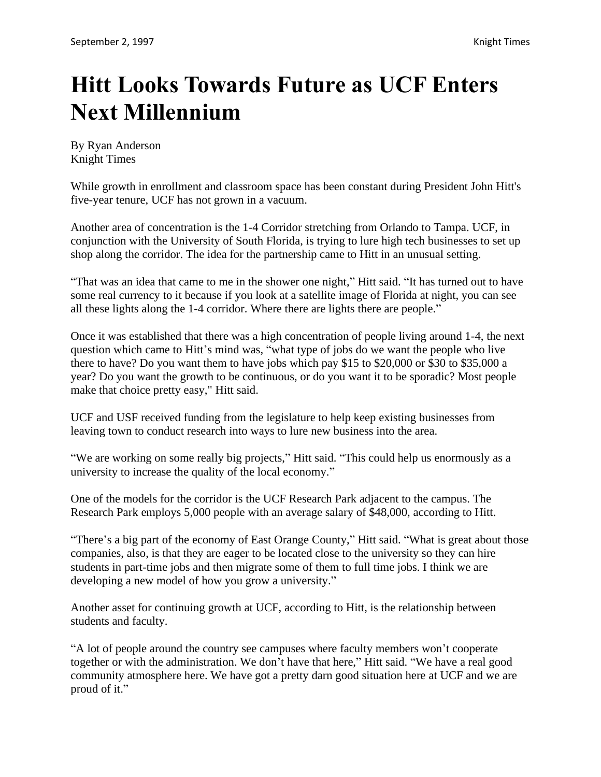## **Hitt Looks Towards Future as UCF Enters Next Millennium**

By Ryan Anderson Knight Times

While growth in enrollment and classroom space has been constant during President John Hitt's five-year tenure, UCF has not grown in a vacuum.

Another area of concentration is the 1-4 Corridor stretching from Orlando to Tampa. UCF, in conjunction with the University of South Florida, is trying to lure high tech businesses to set up shop along the corridor. The idea for the partnership came to Hitt in an unusual setting.

"That was an idea that came to me in the shower one night," Hitt said. "It has turned out to have some real currency to it because if you look at a satellite image of Florida at night, you can see all these lights along the 1-4 corridor. Where there are lights there are people."

Once it was established that there was a high concentration of people living around 1-4, the next question which came to Hitt's mind was, "what type of jobs do we want the people who live there to have? Do you want them to have jobs which pay \$15 to \$20,000 or \$30 to \$35,000 a year? Do you want the growth to be continuous, or do you want it to be sporadic? Most people make that choice pretty easy," Hitt said.

UCF and USF received funding from the legislature to help keep existing businesses from leaving town to conduct research into ways to lure new business into the area.

"We are working on some really big projects," Hitt said. "This could help us enormously as a university to increase the quality of the local economy."

One of the models for the corridor is the UCF Research Park adjacent to the campus. The Research Park employs 5,000 people with an average salary of \$48,000, according to Hitt.

"There's a big part of the economy of East Orange County," Hitt said. "What is great about those companies, also, is that they are eager to be located close to the university so they can hire students in part-time jobs and then migrate some of them to full time jobs. I think we are developing a new model of how you grow a university."

Another asset for continuing growth at UCF, according to Hitt, is the relationship between students and faculty.

"A lot of people around the country see campuses where faculty members won't cooperate together or with the administration. We don't have that here," Hitt said. "We have a real good community atmosphere here. We have got a pretty darn good situation here at UCF and we are proud of it."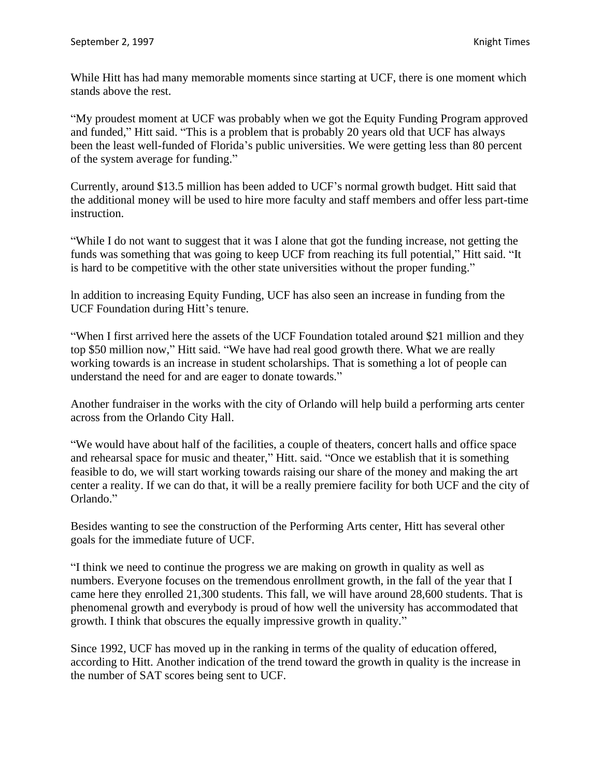While Hitt has had many memorable moments since starting at UCF, there is one moment which stands above the rest.

"My proudest moment at UCF was probably when we got the Equity Funding Program approved and funded," Hitt said. "This is a problem that is probably 20 years old that UCF has always been the least well-funded of Florida's public universities. We were getting less than 80 percent of the system average for funding."

Currently, around \$13.5 million has been added to UCF's normal growth budget. Hitt said that the additional money will be used to hire more faculty and staff members and offer less part-time instruction.

"While I do not want to suggest that it was I alone that got the funding increase, not getting the funds was something that was going to keep UCF from reaching its full potential," Hitt said. "It is hard to be competitive with the other state universities without the proper funding."

ln addition to increasing Equity Funding, UCF has also seen an increase in funding from the UCF Foundation during Hitt's tenure.

"When I first arrived here the assets of the UCF Foundation totaled around \$21 million and they top \$50 million now," Hitt said. "We have had real good growth there. What we are really working towards is an increase in student scholarships. That is something a lot of people can understand the need for and are eager to donate towards."

Another fundraiser in the works with the city of Orlando will help build a performing arts center across from the Orlando City Hall.

"We would have about half of the facilities, a couple of theaters, concert halls and office space and rehearsal space for music and theater," Hitt. said. "Once we establish that it is something feasible to do, we will start working towards raising our share of the money and making the art center a reality. If we can do that, it will be a really premiere facility for both UCF and the city of Orlando."

Besides wanting to see the construction of the Performing Arts center, Hitt has several other goals for the immediate future of UCF.

"I think we need to continue the progress we are making on growth in quality as well as numbers. Everyone focuses on the tremendous enrollment growth, in the fall of the year that I came here they enrolled 21,300 students. This fall, we will have around 28,600 students. That is phenomenal growth and everybody is proud of how well the university has accommodated that growth. I think that obscures the equally impressive growth in quality."

Since 1992, UCF has moved up in the ranking in terms of the quality of education offered, according to Hitt. Another indication of the trend toward the growth in quality is the increase in the number of SAT scores being sent to UCF.